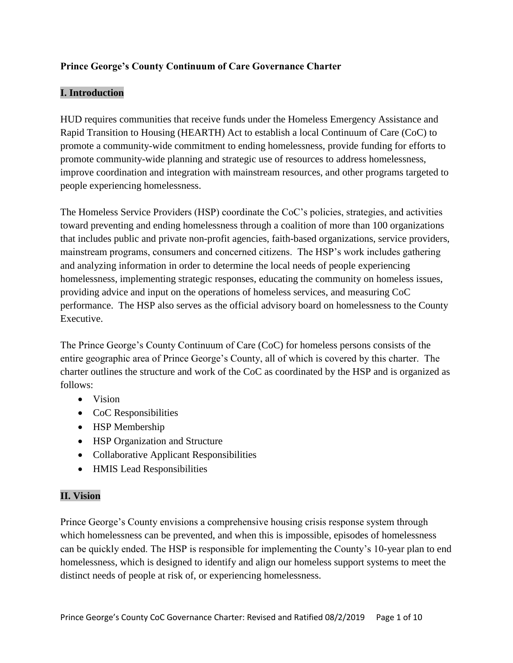## **Prince George's County Continuum of Care Governance Charter**

#### **I. Introduction**

HUD requires communities that receive funds under the Homeless Emergency Assistance and Rapid Transition to Housing (HEARTH) Act to establish a local Continuum of Care (CoC) to promote a community-wide commitment to ending homelessness, provide funding for efforts to promote community-wide planning and strategic use of resources to address homelessness, improve coordination and integration with mainstream resources, and other programs targeted to people experiencing homelessness.

The Homeless Service Providers (HSP) coordinate the CoC's policies, strategies, and activities toward preventing and ending homelessness through a coalition of more than 100 organizations that includes public and private non-profit agencies, faith-based organizations, service providers, mainstream programs, consumers and concerned citizens. The HSP's work includes gathering and analyzing information in order to determine the local needs of people experiencing homelessness, implementing strategic responses, educating the community on homeless issues, providing advice and input on the operations of homeless services, and measuring CoC performance. The HSP also serves as the official advisory board on homelessness to the County Executive.

The Prince George's County Continuum of Care (CoC) for homeless persons consists of the entire geographic area of Prince George's County, all of which is covered by this charter. The charter outlines the structure and work of the CoC as coordinated by the HSP and is organized as follows:

- Vision
- CoC Responsibilities
- HSP Membership
- HSP Organization and Structure
- Collaborative Applicant Responsibilities
- HMIS Lead Responsibilities

## **II. Vision**

Prince George's County envisions a comprehensive housing crisis response system through which homelessness can be prevented, and when this is impossible, episodes of homelessness can be quickly ended. The HSP is responsible for implementing the County's 10-year plan to end homelessness, which is designed to identify and align our homeless support systems to meet the distinct needs of people at risk of, or experiencing homelessness.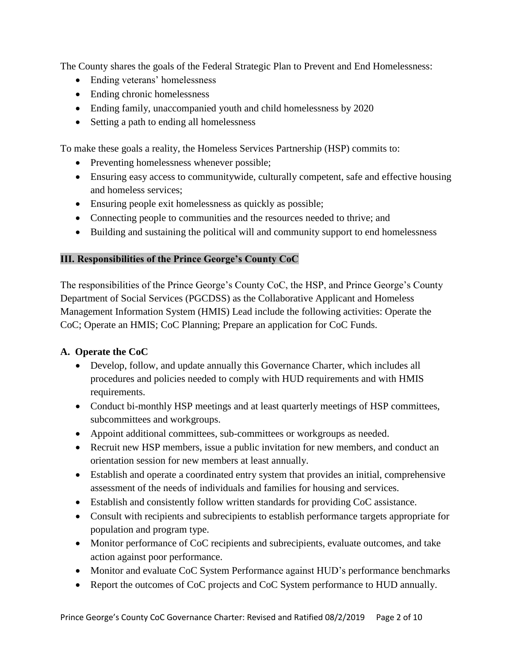The County shares the goals of the Federal Strategic Plan to Prevent and End Homelessness:

- Ending veterans' homelessness
- Ending chronic homelessness
- Ending family, unaccompanied youth and child homelessness by 2020
- Setting a path to ending all homelessness

To make these goals a reality, the Homeless Services Partnership (HSP) commits to:

- Preventing homelessness whenever possible;
- Ensuring easy access to communitywide, culturally competent, safe and effective housing and homeless services;
- Ensuring people exit homelessness as quickly as possible;
- Connecting people to communities and the resources needed to thrive; and
- Building and sustaining the political will and community support to end homelessness

## **III. Responsibilities of the Prince George's County CoC**

The responsibilities of the Prince George's County CoC, the HSP, and Prince George's County Department of Social Services (PGCDSS) as the Collaborative Applicant and Homeless Management Information System (HMIS) Lead include the following activities: Operate the CoC; Operate an HMIS; CoC Planning; Prepare an application for CoC Funds.

## **A. Operate the CoC**

- Develop, follow, and update annually this Governance Charter, which includes all procedures and policies needed to comply with HUD requirements and with HMIS requirements.
- Conduct bi-monthly HSP meetings and at least quarterly meetings of HSP committees, subcommittees and workgroups.
- Appoint additional committees, sub-committees or workgroups as needed.
- Recruit new HSP members, issue a public invitation for new members, and conduct an orientation session for new members at least annually.
- Establish and operate a coordinated entry system that provides an initial, comprehensive assessment of the needs of individuals and families for housing and services.
- Establish and consistently follow written standards for providing CoC assistance.
- Consult with recipients and subrecipients to establish performance targets appropriate for population and program type.
- Monitor performance of CoC recipients and subrecipients, evaluate outcomes, and take action against poor performance.
- Monitor and evaluate CoC System Performance against HUD's performance benchmarks
- Report the outcomes of CoC projects and CoC System performance to HUD annually.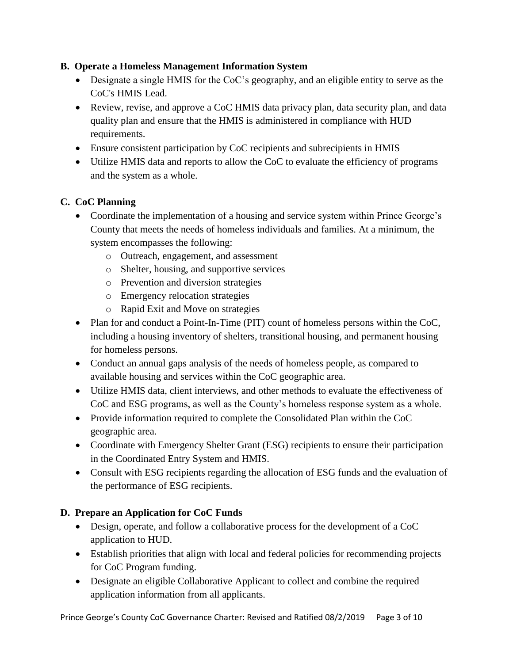## **B. Operate a Homeless Management Information System**

- Designate a single HMIS for the CoC's geography, and an eligible entity to serve as the CoC's HMIS Lead.
- Review, revise, and approve a CoC HMIS data privacy plan, data security plan, and data quality plan and ensure that the HMIS is administered in compliance with HUD requirements.
- Ensure consistent participation by CoC recipients and subrecipients in HMIS
- Utilize HMIS data and reports to allow the CoC to evaluate the efficiency of programs and the system as a whole.

# **C. CoC Planning**

- Coordinate the implementation of a housing and service system within Prince George's County that meets the needs of homeless individuals and families. At a minimum, the system encompasses the following:
	- o Outreach, engagement, and assessment
	- o Shelter, housing, and supportive services
	- o Prevention and diversion strategies
	- o Emergency relocation strategies
	- o Rapid Exit and Move on strategies
- Plan for and conduct a Point-In-Time (PIT) count of homeless persons within the CoC, including a housing inventory of shelters, transitional housing, and permanent housing for homeless persons.
- Conduct an annual gaps analysis of the needs of homeless people, as compared to available housing and services within the CoC geographic area.
- Utilize HMIS data, client interviews, and other methods to evaluate the effectiveness of CoC and ESG programs, as well as the County's homeless response system as a whole.
- Provide information required to complete the Consolidated Plan within the CoC geographic area.
- Coordinate with Emergency Shelter Grant (ESG) recipients to ensure their participation in the Coordinated Entry System and HMIS.
- Consult with ESG recipients regarding the allocation of ESG funds and the evaluation of the performance of ESG recipients.

## **D. Prepare an Application for CoC Funds**

- Design, operate, and follow a collaborative process for the development of a CoC application to HUD.
- Establish priorities that align with local and federal policies for recommending projects for CoC Program funding.
- Designate an eligible Collaborative Applicant to collect and combine the required application information from all applicants.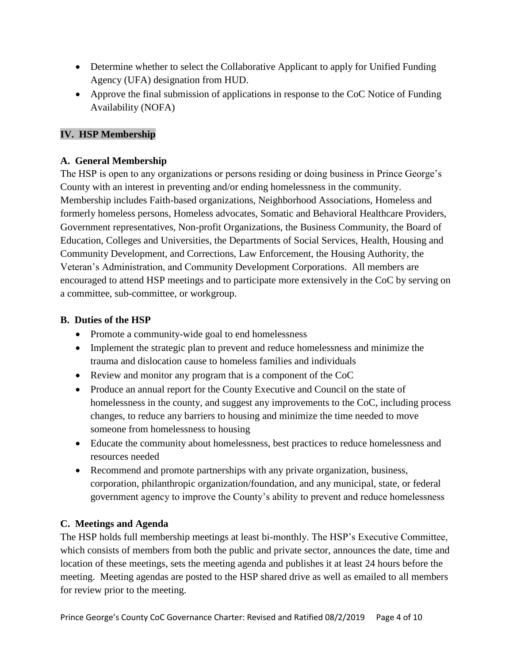- Determine whether to select the Collaborative Applicant to apply for Unified Funding Agency (UFA) designation from HUD.
- Approve the final submission of applications in response to the CoC Notice of Funding Availability (NOFA)

# **IV. HSP Membership**

## **A. General Membership**

The HSP is open to any organizations or persons residing or doing business in Prince George's County with an interest in preventing and/or ending homelessness in the community. Membership includes Faith-based organizations, Neighborhood Associations, Homeless and formerly homeless persons, Homeless advocates, Somatic and Behavioral Healthcare Providers, Government representatives, Non-profit Organizations, the Business Community, the Board of Education, Colleges and Universities, the Departments of Social Services, Health, Housing and Community Development, and Corrections, Law Enforcement, the Housing Authority, the Veteran's Administration, and Community Development Corporations. All members are encouraged to attend HSP meetings and to participate more extensively in the CoC by serving on a committee, sub-committee, or workgroup.

### **B. Duties of the HSP**

- Promote a community-wide goal to end homelessness
- Implement the strategic plan to prevent and reduce homelessness and minimize the trauma and dislocation cause to homeless families and individuals
- Review and monitor any program that is a component of the CoC
- Produce an annual report for the County Executive and Council on the state of homelessness in the county, and suggest any improvements to the CoC, including process changes, to reduce any barriers to housing and minimize the time needed to move someone from homelessness to housing
- Educate the community about homelessness, best practices to reduce homelessness and resources needed
- Recommend and promote partnerships with any private organization, business, corporation, philanthropic organization/foundation, and any municipal, state, or federal government agency to improve the County's ability to prevent and reduce homelessness

## **C. Meetings and Agenda**

The HSP holds full membership meetings at least bi-monthly. The HSP's Executive Committee, which consists of members from both the public and private sector, announces the date, time and location of these meetings, sets the meeting agenda and publishes it at least 24 hours before the meeting. Meeting agendas are posted to the HSP shared drive as well as emailed to all members for review prior to the meeting.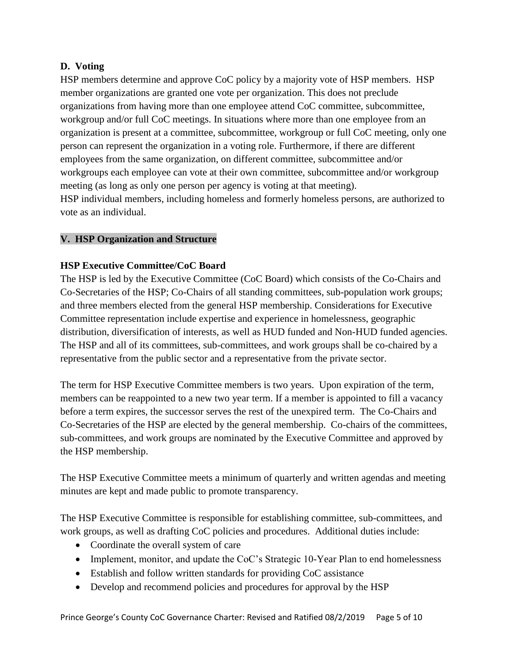## **D. Voting**

HSP members determine and approve CoC policy by a majority vote of HSP members. HSP member organizations are granted one vote per organization. This does not preclude organizations from having more than one employee attend CoC committee, subcommittee, workgroup and/or full CoC meetings. In situations where more than one employee from an organization is present at a committee, subcommittee, workgroup or full CoC meeting, only one person can represent the organization in a voting role. Furthermore, if there are different employees from the same organization, on different committee, subcommittee and/or workgroups each employee can vote at their own committee, subcommittee and/or workgroup meeting (as long as only one person per agency is voting at that meeting). HSP individual members, including homeless and formerly homeless persons, are authorized to vote as an individual.

### **V. HSP Organization and Structure**

### **HSP Executive Committee/CoC Board**

The HSP is led by the Executive Committee (CoC Board) which consists of the Co-Chairs and Co-Secretaries of the HSP; Co-Chairs of all standing committees, sub-population work groups; and three members elected from the general HSP membership. Considerations for Executive Committee representation include expertise and experience in homelessness, geographic distribution, diversification of interests, as well as HUD funded and Non-HUD funded agencies. The HSP and all of its committees, sub-committees, and work groups shall be co-chaired by a representative from the public sector and a representative from the private sector.

The term for HSP Executive Committee members is two years. Upon expiration of the term, members can be reappointed to a new two year term. If a member is appointed to fill a vacancy before a term expires, the successor serves the rest of the unexpired term. The Co-Chairs and Co-Secretaries of the HSP are elected by the general membership. Co-chairs of the committees, sub-committees, and work groups are nominated by the Executive Committee and approved by the HSP membership.

The HSP Executive Committee meets a minimum of quarterly and written agendas and meeting minutes are kept and made public to promote transparency.

The HSP Executive Committee is responsible for establishing committee, sub-committees, and work groups, as well as drafting CoC policies and procedures. Additional duties include:

- Coordinate the overall system of care
- Implement, monitor, and update the CoC's Strategic 10-Year Plan to end homelessness
- Establish and follow written standards for providing CoC assistance
- Develop and recommend policies and procedures for approval by the HSP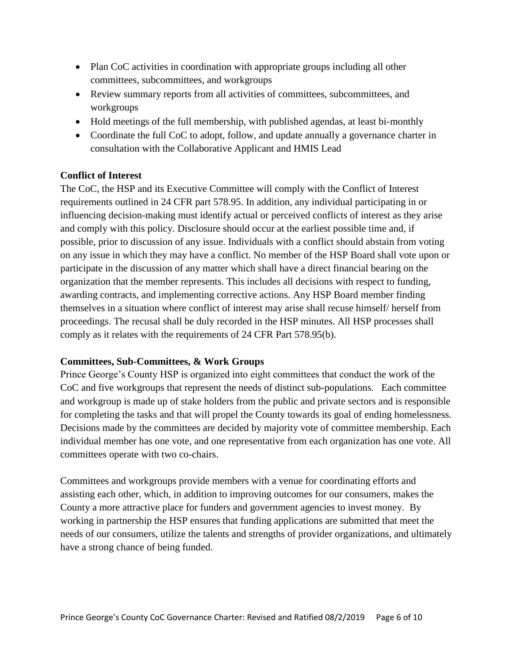- Plan CoC activities in coordination with appropriate groups including all other committees, subcommittees, and workgroups
- Review summary reports from all activities of committees, subcommittees, and workgroups
- Hold meetings of the full membership, with published agendas, at least bi-monthly
- Coordinate the full CoC to adopt, follow, and update annually a governance charter in consultation with the Collaborative Applicant and HMIS Lead

### **Conflict of Interest**

The CoC, the HSP and its Executive Committee will comply with the Conflict of Interest requirements outlined in 24 CFR part 578.95. In addition, any individual participating in or influencing decision-making must identify actual or perceived conflicts of interest as they arise and comply with this policy. Disclosure should occur at the earliest possible time and, if possible, prior to discussion of any issue. Individuals with a conflict should abstain from voting on any issue in which they may have a conflict. No member of the HSP Board shall vote upon or participate in the discussion of any matter which shall have a direct financial bearing on the organization that the member represents. This includes all decisions with respect to funding, awarding contracts, and implementing corrective actions. Any HSP Board member finding themselves in a situation where conflict of interest may arise shall recuse himself/ herself from proceedings. The recusal shall be duly recorded in the HSP minutes. All HSP processes shall comply as it relates with the requirements of 24 CFR Part 578.95(b).

#### **Committees, Sub-Committees, & Work Groups**

Prince George's County HSP is organized into eight committees that conduct the work of the CoC and five workgroups that represent the needs of distinct sub-populations. Each committee and workgroup is made up of stake holders from the public and private sectors and is responsible for completing the tasks and that will propel the County towards its goal of ending homelessness. Decisions made by the committees are decided by majority vote of committee membership. Each individual member has one vote, and one representative from each organization has one vote. All committees operate with two co-chairs.

Committees and workgroups provide members with a venue for coordinating efforts and assisting each other, which, in addition to improving outcomes for our consumers, makes the County a more attractive place for funders and government agencies to invest money. By working in partnership the HSP ensures that funding applications are submitted that meet the needs of our consumers, utilize the talents and strengths of provider organizations, and ultimately have a strong chance of being funded.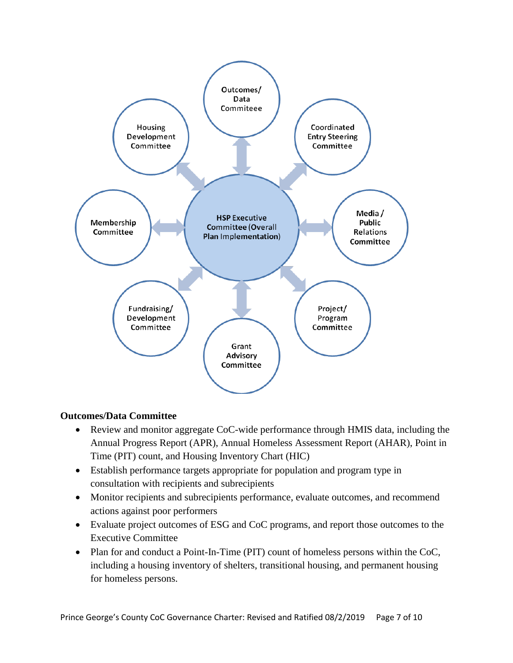

#### **Outcomes/Data Committee**

- Review and monitor aggregate CoC-wide performance through HMIS data, including the Annual Progress Report (APR), Annual Homeless Assessment Report (AHAR), Point in Time (PIT) count, and Housing Inventory Chart (HIC)
- Establish performance targets appropriate for population and program type in consultation with recipients and subrecipients
- Monitor recipients and subrecipients performance, evaluate outcomes, and recommend actions against poor performers
- Evaluate project outcomes of ESG and CoC programs, and report those outcomes to the Executive Committee
- Plan for and conduct a Point-In-Time (PIT) count of homeless persons within the CoC, including a housing inventory of shelters, transitional housing, and permanent housing for homeless persons.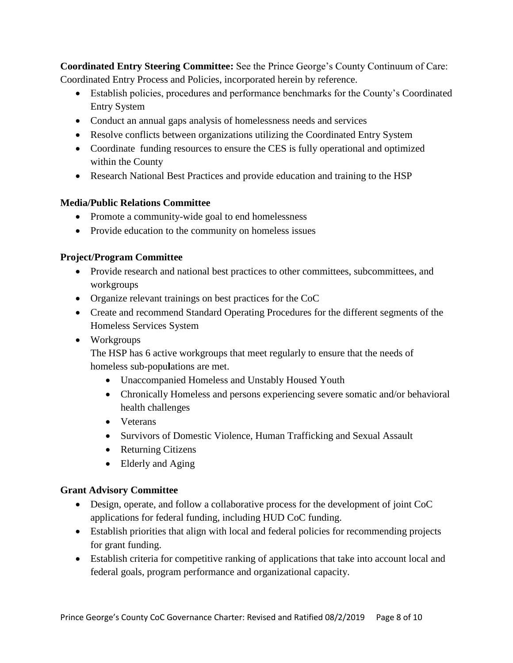**Coordinated Entry Steering Committee:** See the Prince George's County Continuum of Care: Coordinated Entry Process and Policies, incorporated herein by reference.

- Establish policies, procedures and performance benchmarks for the County's Coordinated Entry System
- Conduct an annual gaps analysis of homelessness needs and services
- Resolve conflicts between organizations utilizing the Coordinated Entry System
- Coordinate funding resources to ensure the CES is fully operational and optimized within the County
- Research National Best Practices and provide education and training to the HSP

## **Media/Public Relations Committee**

- Promote a community-wide goal to end homelessness
- Provide education to the community on homeless issues

# **Project/Program Committee**

- Provide research and national best practices to other committees, subcommittees, and workgroups
- Organize relevant trainings on best practices for the CoC
- Create and recommend Standard Operating Procedures for the different segments of the Homeless Services System
- Workgroups

The HSP has 6 active workgroups that meet regularly to ensure that the needs of homeless sub-popu**l**ations are met.

- Unaccompanied Homeless and Unstably Housed Youth
- Chronically Homeless and persons experiencing severe somatic and/or behavioral health challenges
- Veterans
- Survivors of Domestic Violence, Human Trafficking and Sexual Assault
- Returning Citizens
- Elderly and Aging

## **Grant Advisory Committee**

- Design, operate, and follow a collaborative process for the development of joint CoC applications for federal funding, including HUD CoC funding.
- Establish priorities that align with local and federal policies for recommending projects for grant funding.
- Establish criteria for competitive ranking of applications that take into account local and federal goals, program performance and organizational capacity.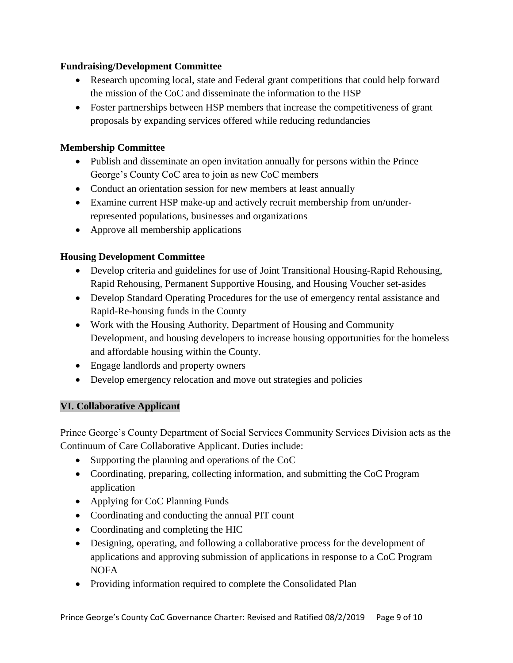#### **Fundraising/Development Committee**

- Research upcoming local, state and Federal grant competitions that could help forward the mission of the CoC and disseminate the information to the HSP
- Foster partnerships between HSP members that increase the competitiveness of grant proposals by expanding services offered while reducing redundancies

# **Membership Committee**

- Publish and disseminate an open invitation annually for persons within the Prince George's County CoC area to join as new CoC members
- Conduct an orientation session for new members at least annually
- Examine current HSP make-up and actively recruit membership from un/underrepresented populations, businesses and organizations
- Approve all membership applications

# **Housing Development Committee**

- Develop criteria and guidelines for use of Joint Transitional Housing-Rapid Rehousing, Rapid Rehousing, Permanent Supportive Housing, and Housing Voucher set-asides
- Develop Standard Operating Procedures for the use of emergency rental assistance and Rapid-Re-housing funds in the County
- Work with the Housing Authority, Department of Housing and Community Development, and housing developers to increase housing opportunities for the homeless and affordable housing within the County.
- Engage landlords and property owners
- Develop emergency relocation and move out strategies and policies

## **VI. Collaborative Applicant**

Prince George's County Department of Social Services Community Services Division acts as the Continuum of Care Collaborative Applicant. Duties include:

- Supporting the planning and operations of the CoC
- Coordinating, preparing, collecting information, and submitting the CoC Program application
- Applying for CoC Planning Funds
- Coordinating and conducting the annual PIT count
- Coordinating and completing the HIC
- Designing, operating, and following a collaborative process for the development of applications and approving submission of applications in response to a CoC Program NOFA
- Providing information required to complete the Consolidated Plan